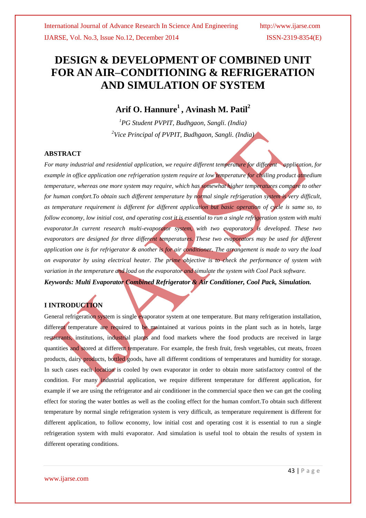# **DESIGN & DEVELOPMENT OF COMBINED UNIT FOR AN AIR–CONDITIONING & REFRIGERATION AND SIMULATION OF SYSTEM**

## **Arif O. Hannure<sup>1</sup> , Avinash M. Patil<sup>2</sup>**

*<sup>1</sup>PG Student PVPIT, Budhgaon, Sangli. (India) <sup>2</sup>Vice Principal of PVPIT, Budhgaon, Sangli. (India)*

#### **ABSTRACT**

*For many industrial and residential application, we require different temperature for different application, for example in office application one refrigeration system require at low temperature for chiiling product atmedium temperature, whereas one more system may require, which has somewhat higher temperatures compare to other for human comfort.To obtain such different temperature by normal single refrigeration system is very difficult, as temperature requirement is different for different application but basic operation of cycle is same so, to follow economy, low initial cost, and operating cost it is essential to run a single refrigeration system with multi evaporator.In current research multi-evaporator system, with two evaporators is developed. These two evaporators are designed for three different temperatures. These two evaporators may be used for different application one is for refrigerator & another is for air conditioner. The arrangement is made to vary the load on evaporator by using electrical heater. The prime objective is to check the performance of system with variation in the temperature and load on the evaporator and simulate the system with Cool Pack software. Keywords: Multi Evaporator Combined Refrigerator & Air Conditioner, Cool Pack, Simulation.*

### **I INTRODUCTION**

General refrigeration system is single evaporator system at one temperature. But many refrigeration installation, different temperature are required to be maintained at various points in the plant such as in hotels, large restaurants, institutions, industrial plants and food markets where the food products are received in large quantities and stored at different temperature. For example, the fresh fruit, fresh vegetables, cut meats, frozen products, dairy products, bottled goods, have all different conditions of temperatures and humidity for storage. In such cases each location is cooled by own evaporator in order to obtain more satisfactory control of the condition. For many industrial application, we require different temperature for different application, for example if we are using the refrigerator and air conditioner in the commercial space then we can get the cooling effect for storing the water bottles as well as the cooling effect for the human comfort.To obtain such different temperature by normal single refrigeration system is very difficult, as temperature requirement is different for different application, to follow economy, low initial cost and operating cost it is essential to run a single refrigeration system with multi evaporator. And simulation is useful tool to obtain the results of system in different operating conditions.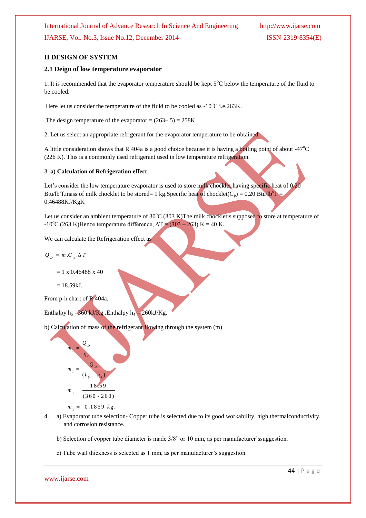#### **II DESIGN OF SYSTEM**

#### **2.1 Deign of low temperature evaporator**

1. It is recommended that the evaporator temperature should be kept 5°C below the temperature of the fluid to be cooled.

Here let us consider the temperature of the fluid to be cooled as  $-10^{\circ}$ C i.e.263K.

The design temperature of the evaporator =  $(263-5) = 258K$ 

2. Let us select an appropriate refrigerant for the evaporator temperature to be obtained.

A little consideration shows that R 404a is a good choice because it is having a boiling point of about -47 $\degree$ C (226 K). This is a commonly used refrigerant used in low temperature refrigeration.

#### 3. **a) Calculation of Refrigeration effect**

Let's consider the low temperature evaporator is used to store milk chocklet having specific heat of 0.20 Btu/lb<sup>o</sup>f.mass of milk chocklet to be stored= 1 kg. Specific heat of chocklet(C<sub>p</sub>) = 0.20 Btu/lb<sup>o</sup>f. = 0.46488KJ/KgK

Let us consider an ambient temperature of 30°C (303 K)The milk chockletis supposed to store at temperature of  $-10^{\circ}$ C (263 K)Hence temperature difference,  $\Delta T = (303 - 263)$  K = 40 K.

We can calculate the Refrigeration effect as

$$
Q_{p} = m.C_{p}.\Delta T
$$

 $= 1 \times 0.46488 \times 40$ 

 $= 18.59kJ.$ 

From p-h chart of R 404a,

Enthalpy  $h_5 = 360 \text{ kJ/Kg}$ . Enthalpy  $h_4 = 260 \text{ kJ/Kg}$ .

b) Calculation of mass of the refrigerant flowing through the system (m)

$$
m_1 = \frac{Q_D}{q_c}
$$
  
\n
$$
m_1 = \frac{Q_D}{(h_s - h_4)}
$$
  
\n
$$
m_1 = \frac{18.59}{(360 - 260)}
$$
  
\n
$$
m_1 = 0.1859 \text{ kg.}
$$

- 4. a) Evaporator tube selection- Copper tube is selected due to its good workability, high thermalconductivity, and corrosion resistance.
	- b) Selection of copper tube diameter is made 3/8" or 10 mm, as per manufacturer'ssuggestion.
	- c) Tube wall thickness is selected as 1 mm, as per manufacturer's suggestion.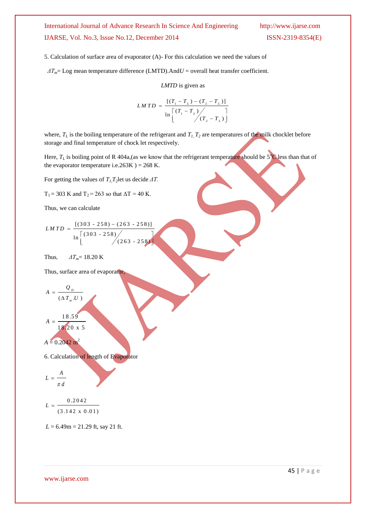5. Calculation of surface area of evaporator (A)- For this calculation we need the values of

 *ΔTm*= Log mean temperature difference (LMTD).And*U* = overall heat transfer coefficient.

*LMTD* is given as

$$
LMTD = \frac{[(T_1 - T_L) - (T_2 - T_L)]}{\ln \left[\frac{(T_1 - T_L)}{(T_2 - T_L)}\right]}
$$

where,  $T_L$  is the boiling temperature of the refrigerant and  $T_L$   $T_2$  are temperatures of the milk chocklet before storage and final temperature of chock let respectively.

Here,  $T_L$  is boiling point of R 404a, (as we know that the refrigerant temperature should be  $5^{\circ}$ C less than that of the evaporator temperature i.e.263K  $) = 268$  K.

For getting the values of  $T_l$ ,  $T_2$ let us decide  $\Delta T$ .

 $T_1 = 303$  K and  $T_2 = 263$  so that  $\Delta T = 40$  K.

Thus, we can calculate

$$
LMTD = \frac{[(303 - 258) - (263 - 258)]}{\ln \left[\frac{(303 - 258)}{(263 - 258)}\right]}
$$

Thus,  $\Delta T_m = 18.20 \text{ K}$ 

Thus, surface area of evaporator,

$$
A = \frac{Q_D}{(\Delta T_m.U)}
$$

$$
A = \frac{18.59}{18.20 \text{ x } 5}
$$

$$
A=0.2042\ \mathrm{m}^2
$$

6. Calculation of length of Evaporator

$$
L=\frac{A}{\pi\,d}
$$

$$
L = \frac{0.2042}{(3.142 \times 0.01)}
$$

*L* = 6.49m = 21.29 ft, say 21 ft.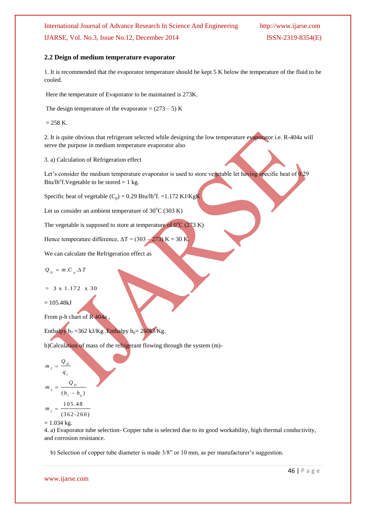#### **2.2 Deign of medium temperature evaporator**

1. It is recommended that the evaporator temperature should be kept 5 K below the temperature of the fluid to be cooled.

Here the temperature of Evaporator to be maintained is 273K.

The design temperature of the evaporator =  $(273 – 5)$  K

 $= 258 K.$ 

2. It is quite obvious that refrigerant selected while designing the low temperature evaporator i.e. R-404a will serve the purpose in medium temperature evaporator also

3. a) Calculation of Refrigeration effect

Let's consider the medium temperature evaporator is used to store vegetable let having specific heat of 0.29 Btu/lb<sup>o</sup>f. Vegetable to be stored = 1 kg.

Specific heat of vegetable  $(C_p) = 0.29$  Btu/lb<sup>o</sup>f. =1.172 KJ/KgK

Let us consider an ambient temperature of  $30^{\circ}$ C (303 K)

The vegetable is supposed to store at temperature of  $0^{\circ}C(273 K)$ 

Hence temperature difference,  $\Delta T = (303 - 273) \text{ K} = 30 \text{ K}$ .

We can calculate the Refrigeration effect as

 $Q_p = m.C_p.\Delta T$ 

 $= 3 \times 1.172 \times 30$ 

 $= 105.48kJ$ 

From p-h chart of R 404a ,

Enthalpy  $h_7 = 362 \text{ kJ/Kg}$ . Enthalpy  $h_6 = 260 \text{ kJ/Kg}$ .

b)Calculation of mass of the refrigerant flowing through the system (m)-

$$
m_{_2}=\frac{Q_{_D}}{}
$$

$$
q_c
$$

$$
m_{2} = \frac{Q_D}{\sqrt{2\pi}}\left(\frac{Q_D}{Q}\right)^2
$$

<sup>2</sup>  $(h_7 - h_6)$  $h_n - h$ =  $\overline{a}$ 

2 1 0 5 .4 8  $(362 - 260)$  $m<sub>2</sub>$  =

 $= 1.034$  kg.

4. a) Evaporator tube selection- Copper tube is selected due to its good workability, high thermal conductivity, and corrosion resistance.

b) Selection of copper tube diameter is made 3/8" or 10 mm, as per manufacturer's suggestion.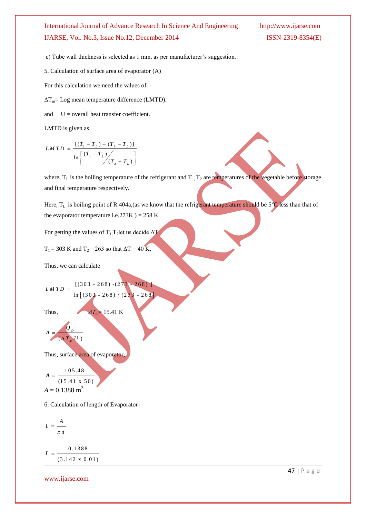c) Tube wall thickness is selected as 1 mm, as per manufacturer's suggestion.

5. Calculation of surface area of evaporator (A)

For this calculation we need the values of

 $\Delta T_{\rm m}$  Log mean temperature difference (LMTD).

and  $U =$  overall heat transfer coefficient.

LMTD is given as

$$
LMTD = \frac{[(T_1 - T_L) - (T_2 - T_L)]}{\ln \left[ (T_1 - T_L) / (T_2 - T_L) \right]}
$$

where,  $T_L$  is the boiling temperature of the refrigerant and  $T_L$ ,  $T_2$  are temperatures of the vegetable before storage and final temperature respectively.

Here,  $T_L$  is boiling point of R 404a,(as we know that the refrigerant temperature should be  $5^{\circ}C$  less than that of the evaporator temperature i.e.273K  $) = 258$  K.

For getting the values of  $T_1T_2$ let us decide  $\Delta T$ .

$$
T_1 = 303
$$
 K and  $T_2 = 263$  so that  $\Delta T = 40$  K.

Thus, we can calculate

$$
LMTD = \frac{[(303 - 268) - (273 - 268)]}{\ln [(303 - 268) / (273 - 268)]}
$$

Thus,  $\Delta T_m = 15.41 \text{ K}$ 

$$
A = \frac{Q_D}{(\Delta T_m U)}
$$

Thus, surface area of evaporator,

$$
A = \frac{105.48}{(15.41 \times 50)}
$$
  

$$
A = 0.1388 \text{ m}^2
$$

6. Calculation of length of Evaporator-

$$
L = \frac{A}{\pi d}
$$

0 .1 3 8 8  $(3.142 \times 0.01)$  $L = -$ 

www.ijarse.com

47 | P a g e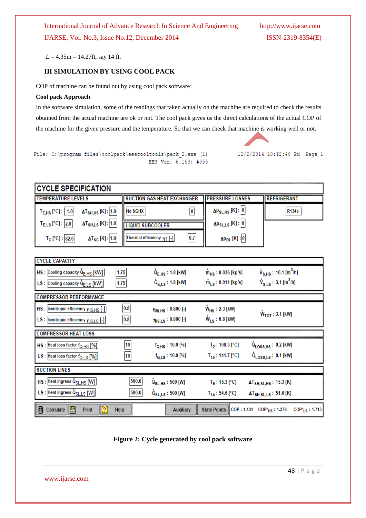*L* = 4.35m = 14.27ft, say 14 ft.

#### **III SIMULATION BY USING COOL PACK**

COP of machine can be found out by using cool pack software:

#### **Cool pack Approach**

In the software simulation, some of the readings that taken actually on the machine are required to check the results obtained from the actual machine are ok or not. The cool pack gives us the direct calculations of the actual COP of the machine for the given pressure and the temperature. So that we can check that machine is working well or not.



File: C:\program files\coolpack\eescooltools\pack 2.exe (1) EES Ver. 6.163: #955

| <b>ICYCLE SPECIFICATION</b> |                                    |                                   |     |                                |              |  |  |  |  |
|-----------------------------|------------------------------------|-----------------------------------|-----|--------------------------------|--------------|--|--|--|--|
| <b>TEMPERATURE LEVELS</b>   |                                    | <b>SUCTION GAS HEAT EXCHANGER</b> |     | <b>IFRESSURE LOSSES</b>        | REFRIGERANT  |  |  |  |  |
| $T_{E,HS}$ [°C] : $ -1.0 $  | $\Delta T_{SH,HS}$ [K] : 1.0       | No SGHX                           |     | $\Delta P_{SL,HS}$ [K] : 0     | <b>R134a</b> |  |  |  |  |
| $T_{E,LS}$ [°C] : 2.0       | $\Delta T_{\rm SH,LS}$ [K] : 1.0   | <b>LIQUID SUBCOOLER</b>           |     | $\Delta p_{SL,LS}$ [K] : $ 0 $ |              |  |  |  |  |
| $T_C$ [°C] : 82.0           | $\Delta$ T <sub>SC</sub> [K] : 1.0 | Thermal efficiency $nT$ [-]       | 0.7 | $\Delta p_{DL}$ [K] : 0        |              |  |  |  |  |

| <b>CYCLE CAPACITY</b>                                          |                |                                                                            |                               |                                                              |  |  |  |
|----------------------------------------------------------------|----------------|----------------------------------------------------------------------------|-------------------------------|--------------------------------------------------------------|--|--|--|
| HS : Cooling capacity Q <sub>E,HS</sub> [KW]                   | 1.75           | $Q_{E,HS}$ : 1.8 [kW]                                                      | $m_{HS}$ : 0.036 [kg/s]       | $\dot{V}_{S,HS}$ : 10.1 [m <sup>3</sup> /h]                  |  |  |  |
| LS : Cooling capacity Q <sub>ELS</sub> [KW]                    | 1.75           | $\dot{Q}_{E,LS}$ : 1.8 [kW]                                                | $\dot{m}_{LS}$ : 0.011 [kg/s] | $\dot{V}_{S,LS}$ : 3.1 [m <sup>3</sup> /h]                   |  |  |  |
| <b>COMPRESSOR PERFORMANCE</b>                                  |                |                                                                            |                               |                                                              |  |  |  |
| HS : Isentropic efficiency mis.Hs [-]                          | $\mathbf{0.8}$ | $\eta_{\text{IS,HS}}$ : 0.800 [-]                                          | $W_{HS}$ : 2.3 [kW]           |                                                              |  |  |  |
| LS : sentropic efficiency mis.LS [-]                           | 0.8            | $\eta_{\text{IS},\text{LS}}$ : 0.800 [-]                                   | $W_{LS}$ : 0.8 [kW]           | $W_{\text{TOT}}: 3.1$ [kW]                                   |  |  |  |
| <b>COMPRESSOR HEAT LOSS</b>                                    |                |                                                                            |                               |                                                              |  |  |  |
| HS : Heat loss factor fo, HS [%]                               | 10             | $f_{Q,HS}$ : 10.0 [%]                                                      | $T_2$ : 108.3 [°C]            | $Q_{\text{LOS,HS}}: 0.2$ [kW]                                |  |  |  |
| LS : Heat loss factor fo, LS [%]                               | 10             | $f_{Q,LS}$ : 10.0 [%]                                                      | $T_{15}$ : 141.7 [°C]         | $\dot{Q}_{\textsf{Loss},\textsf{LS}}$ : 0.1 [kW]             |  |  |  |
| <b>SUCTION LINES</b>                                           |                |                                                                            |                               |                                                              |  |  |  |
| HS : Heat ingress Q <sub>SL, HS</sub> [W]                      | 500.0          | $\dot{\mathsf{Q}}_{\mathsf{S} \mathsf{L},\mathsf{H} \mathsf{S}}$ : 500 [W] | $T_9: 15.3 [°C]$              | $\Delta T_{\rm SH, SL, HS}$ : 15.3 [K]                       |  |  |  |
| LS : Heat ingress Q <sub>SLLS</sub> [W]                        | 500.0          | $\dot{\mathsf{Q}}_{\mathsf{S} \mathsf{L},\mathsf{L} \mathsf{S}}$ : 500 [W] | $T_{14}: 54.6 [°C]$           | $\Delta$ T <sub>SH,SL,LS</sub> : 51.6 [K]                    |  |  |  |
| $  \bm{\mathcal{Q}}  $<br>Calculate<br>$\blacksquare$<br>Print | Help           | <b>Auxiliary</b>                                                           | <b>State Points</b>           | COP: 1.131 COP* <sub>HS</sub> : 1.378<br>$COP_{1.5}$ : 1.713 |  |  |  |

**Figure 2: Cycle generated by cool pack software**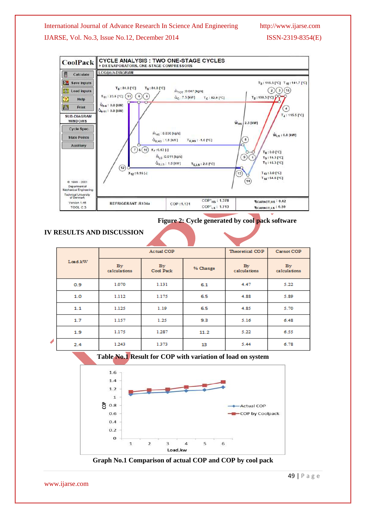#### International Journal of Advance Research In Science And Engineering http://www.ijarse.com

### IJARSE, Vol. No.3, Issue No.12, December 2014 ISSN-2319-8354(E)



**Figure 2: Cycle generated by cool pack software**

### **IV RESULTS AND DISCUSSION**

|    | Load.kW | Actual COP         |                 |          | Theoretical COP    | Carnot COP         |
|----|---------|--------------------|-----------------|----------|--------------------|--------------------|
|    |         | By<br>calculations | By<br>Cool Pack | % Change | By<br>calculations | By<br>calculations |
|    | 0.9     | 1,070              | 1.131           | 6.1      | 4.47               | 5.22               |
|    | 1.0     | 1.112              | 1.175           | 6.5      | 4.88               | 5.89               |
|    | 1.1     | 1.125              | 1.19            | 6.5      | 4.85               | 5.70               |
|    | 1.7     | 1.157              | 1.25            | 9.3      | 5.16               | 6.48               |
|    | 1.9     | 1.175              | 1.287           | 11.2     | 5.22               | 6.55               |
| í, | 2.4     | 1.243              | 1.373           | 13       | 5.44               | 6.78               |



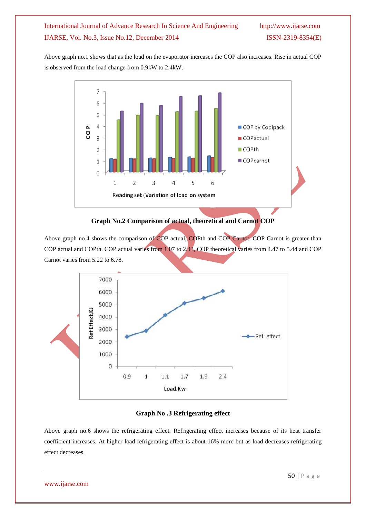Above graph no.1 shows that as the load on the evaporator increases the COP also increases. Rise in actual COP is observed from the load change from 0.9kW to 2.4kW.



#### **Graph No.2 Comparison of actual, theoretical and Carnot COP**

Above graph no.4 shows the comparison of COP actual, COPth and COP Carnot. COP Carnot is greater than COP actual and COPth. COP actual varies from 1.07 to 2.43, COP theoretical varies from 4.47 to 5.44 and COP Carnot varies from 5.22 to 6.78.



#### **Graph No .3 Refrigerating effect**

Above graph no.6 shows the refrigerating effect. Refrigerating effect increases because of its heat transfer coefficient increases. At higher load refrigerating effect is about 16% more but as load decreases refrigerating effect decreases.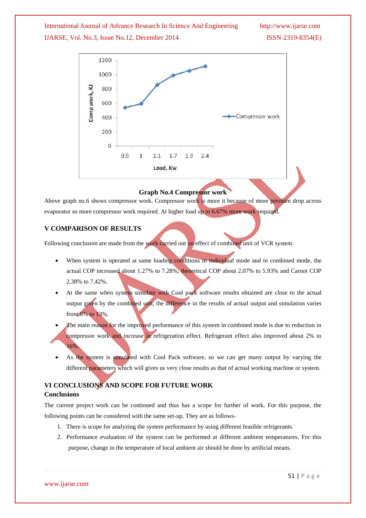

#### **Graph No.4 Compressor work**

Above graph no.6 shows compressor work. Compressor work is more it because of more pressure drop across evaporator so more compressor work required. At higher load up to 6.67% more work required.

#### **V COMPARISON OF RESULTS**

Following conclusion are made from the work carried out on effect of combined unit of VCR system.

- When system is operated at same loading conditions in individual mode and in combined mode, the actual COP increased about 1.27% to 7.28%, theoretical COP about 2.07% to 5.93% and Carnot COP 2.38% to 7.42%.
- At the same when system simulate with Cool pack software results obtained are close to the actual output given by the combined unit, the difference in the results of actual output and simulation varies from 6% to 13%.
- The main reason for the improved performance of this system in combined mode is due to reduction in compressor work and increase in refrigeration effect. Refrigerant effect also improved about 2% to 16%.
- As the system is simulated with Cool Pack software, so we can get many output by varying the different parameters which will gives us very close results as that of actual working machine or system.

## **VI CONCLUSIONS AND SCOPE FOR FUTURE WORK**

#### **Conclusions**

The current project work can be continued and thus has a scope for further of work. For this purpose, the following points can be considered with the same set-up. They are as follows-

- 1. There is scope for analyzing the system performance by using different feasible refrigerants.
- 2. Performance evaluation of the system can be performed at different ambient temperatures. For this purpose, change in the temperature of local ambient air should be done by artificial means.